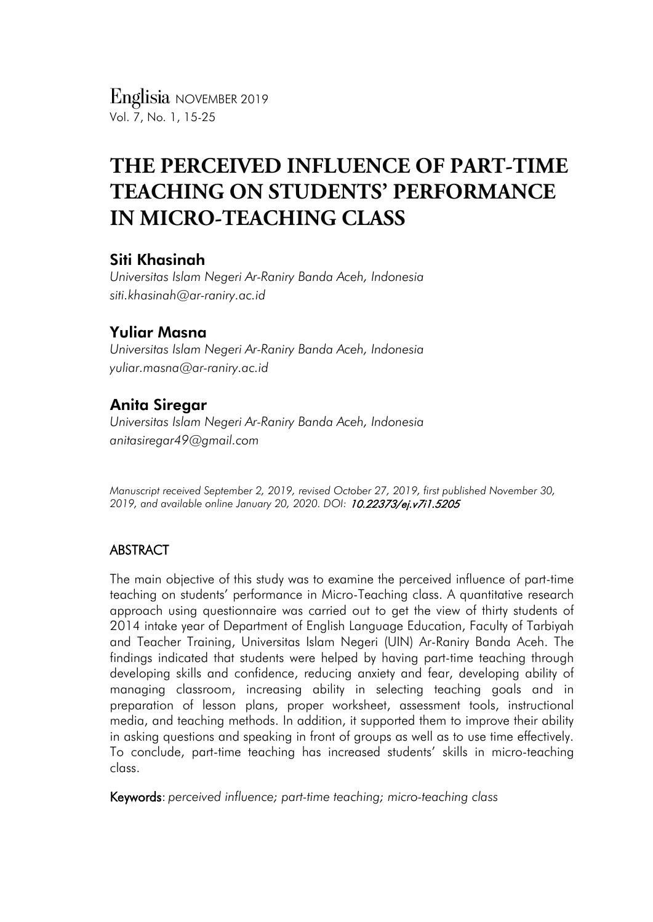*Englisia* NOVEMBER 2019 Vol. 7, No. 1, 15-25

# **THE PERCEIVED INFLUENCE OF PART-TIME TEACHING ON STUDENTS' PERFORMANCE IN MICRO-TEACHING CLASS**

## Siti Khasinah

*Universitas Islam Negeri Ar-Raniry Banda Aceh, Indonesia siti.khasinah@ar-raniry.ac.id*

# Yuliar Masna

*Universitas Islam Negeri Ar-Raniry Banda Aceh, Indonesia yuliar.masna@ar-raniry.ac.id*

# Anita Siregar

*Universitas Islam Negeri Ar-Raniry Banda Aceh, Indonesia anitasiregar49@gmail.com*

*Manuscript received September 2, 2019, revised October 27, 2019, first published November 30, 2019, and available online January 20, 2020. DOI:* 10.22373/ej.v7i1.5205

## ABSTRACT

The main objective of this study was to examine the perceived influence of part-time teaching on students' performance in Micro-Teaching class. A quantitative research approach using questionnaire was carried out to get the view of thirty students of 2014 intake year of Department of English Language Education, Faculty of Tarbiyah and Teacher Training, Universitas Islam Negeri (UIN) Ar-Raniry Banda Aceh. The findings indicated that students were helped by having part-time teaching through developing skills and confidence, reducing anxiety and fear, developing ability of managing classroom, increasing ability in selecting teaching goals and in preparation of lesson plans, proper worksheet, assessment tools, instructional media, and teaching methods. In addition, it supported them to improve their ability in asking questions and speaking in front of groups as well as to use time effectively. To conclude, part-time teaching has increased students' skills in micro-teaching class.

Keywords: *perceived influence; part-time teaching; micro-teaching class*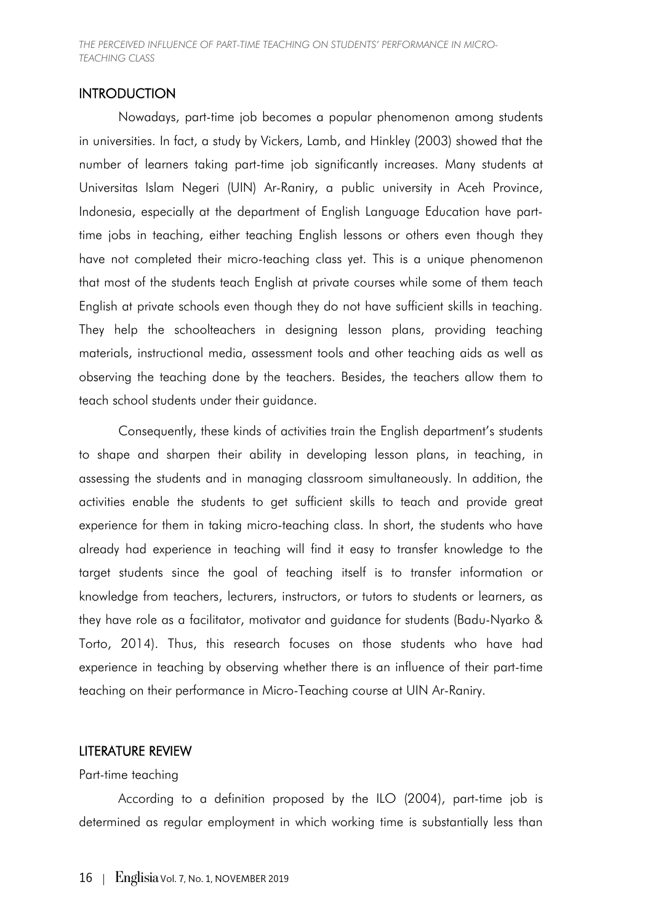*THE PERCEIVED INFLUENCE OF PART-TIME TEACHING ON STUDENTS' PERFORMANCE IN MICRO-TEACHING CLASS*

## **INTRODUCTION**

Nowadays, part-time job becomes a popular phenomenon among students in universities. In fact, a study by Vickers, Lamb, and Hinkley (2003) showed that the number of learners taking part-time job significantly increases. Many students at Universitas Islam Negeri (UIN) Ar-Raniry, a public university in Aceh Province, Indonesia, especially at the department of English Language Education have parttime jobs in teaching, either teaching English lessons or others even though they have not completed their micro-teaching class yet. This is a unique phenomenon that most of the students teach English at private courses while some of them teach English at private schools even though they do not have sufficient skills in teaching. They help the schoolteachers in designing lesson plans, providing teaching materials, instructional media, assessment tools and other teaching aids as well as observing the teaching done by the teachers. Besides, the teachers allow them to teach school students under their guidance.

Consequently, these kinds of activities train the English department's students to shape and sharpen their ability in developing lesson plans, in teaching, in assessing the students and in managing classroom simultaneously. In addition, the activities enable the students to get sufficient skills to teach and provide great experience for them in taking micro-teaching class. In short, the students who have already had experience in teaching will find it easy to transfer knowledge to the target students since the goal of teaching itself is to transfer information or knowledge from teachers, lecturers, instructors, or tutors to students or learners, as they have role as a facilitator, motivator and guidance for students (Badu-Nyarko & Torto, 2014). Thus, this research focuses on those students who have had experience in teaching by observing whether there is an influence of their part-time teaching on their performance in Micro-Teaching course at UIN Ar-Raniry.

#### LITERATURE REVIEW

#### Part-time teaching

According to a definition proposed by the ILO (2004), part-time job is determined as regular employment in which working time is substantially less than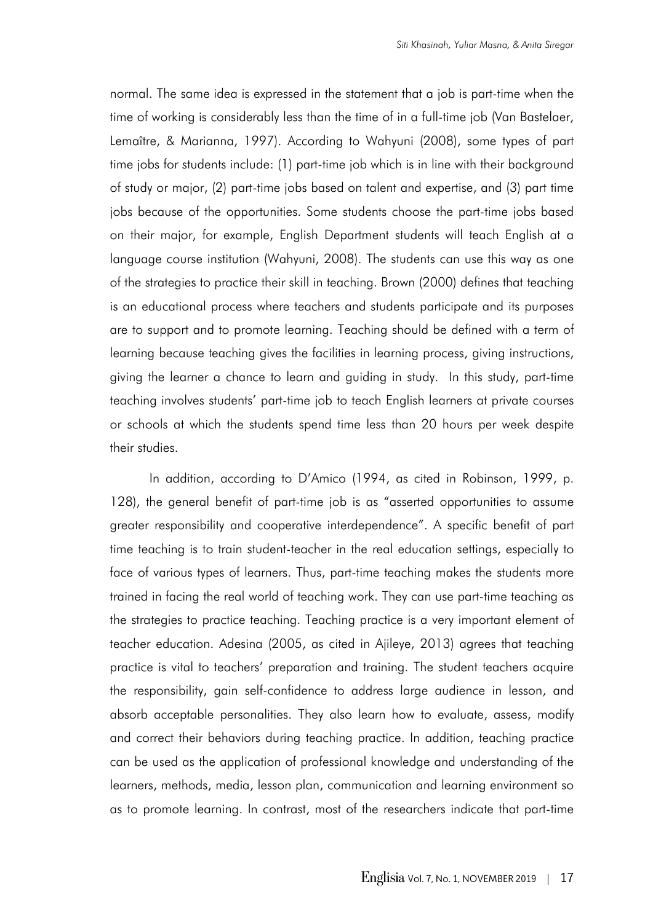normal. The same idea is expressed in the statement that a job is part-time when the time of working is considerably less than the time of in a full-time job (Van Bastelaer, Lemaître, & Marianna, 1997). According to Wahyuni (2008), some types of part time jobs for students include: (1) part-time job which is in line with their background of study or major, (2) part-time jobs based on talent and expertise, and (3) part time jobs because of the opportunities. Some students choose the part-time jobs based on their major, for example, English Department students will teach English at a language course institution (Wahyuni, 2008). The students can use this way as one of the strategies to practice their skill in teaching. Brown (2000) defines that teaching is an educational process where teachers and students participate and its purposes are to support and to promote learning. Teaching should be defined with a term of learning because teaching gives the facilities in learning process, giving instructions, giving the learner a chance to learn and guiding in study. In this study, part-time teaching involves students' part-time job to teach English learners at private courses or schools at which the students spend time less than 20 hours per week despite their studies.

In addition, according to D'Amico (1994, as cited in Robinson, 1999, p. 128), the general benefit of part-time job is as "asserted opportunities to assume greater responsibility and cooperative interdependence". A specific benefit of part time teaching is to train student-teacher in the real education settings, especially to face of various types of learners. Thus, part-time teaching makes the students more trained in facing the real world of teaching work. They can use part-time teaching as the strategies to practice teaching. Teaching practice is a very important element of teacher education. Adesina (2005, as cited in Ajileye, 2013) agrees that teaching practice is vital to teachers' preparation and training. The student teachers acquire the responsibility, gain self-confidence to address large audience in lesson, and absorb acceptable personalities. They also learn how to evaluate, assess, modify and correct their behaviors during teaching practice. In addition, teaching practice can be used as the application of professional knowledge and understanding of the learners, methods, media, lesson plan, communication and learning environment so as to promote learning. In contrast, most of the researchers indicate that part-time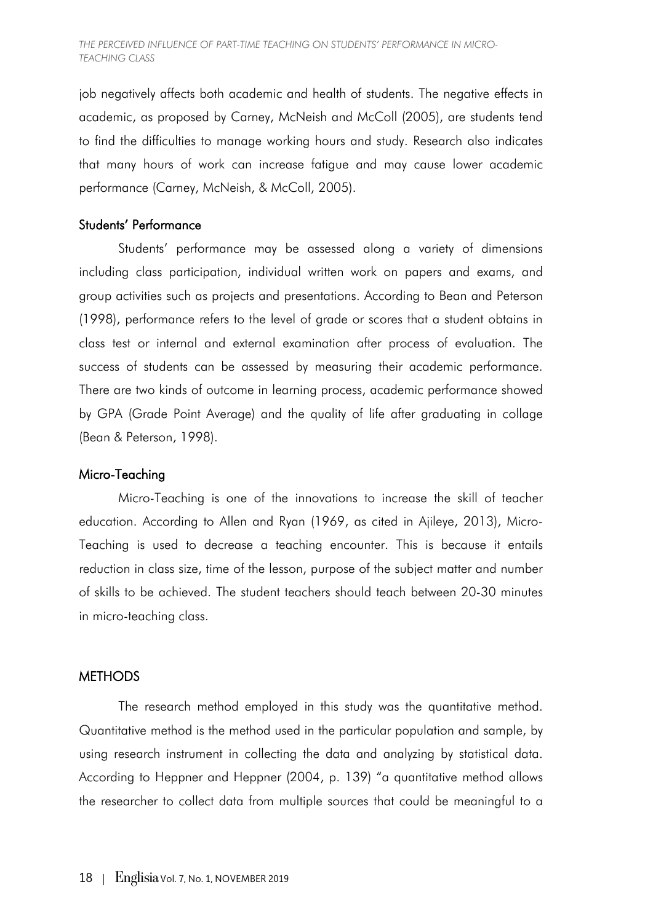job negatively affects both academic and health of students. The negative effects in academic, as proposed by Carney, McNeish and McColl (2005), are students tend to find the difficulties to manage working hours and study. Research also indicates that many hours of work can increase fatigue and may cause lower academic performance (Carney, McNeish, & McColl, 2005).

## Students' Performance

Students' performance may be assessed along a variety of dimensions including class participation, individual written work on papers and exams, and group activities such as projects and presentations. According to Bean and Peterson (1998), performance refers to the level of grade or scores that a student obtains in class test or internal and external examination after process of evaluation. The success of students can be assessed by measuring their academic performance. There are two kinds of outcome in learning process, academic performance showed by GPA (Grade Point Average) and the quality of life after graduating in collage (Bean & Peterson, 1998).

#### Micro-Teaching

Micro-Teaching is one of the innovations to increase the skill of teacher education. According to Allen and Ryan (1969, as cited in Ajileye, 2013), Micro-Teaching is used to decrease a teaching encounter. This is because it entails reduction in class size, time of the lesson, purpose of the subject matter and number of skills to be achieved. The student teachers should teach between 20-30 minutes in micro-teaching class.

#### **METHODS**

The research method employed in this study was the quantitative method. Quantitative method is the method used in the particular population and sample, by using research instrument in collecting the data and analyzing by statistical data. According to Heppner and Heppner (2004, p. 139) "a quantitative method allows the researcher to collect data from multiple sources that could be meaningful to a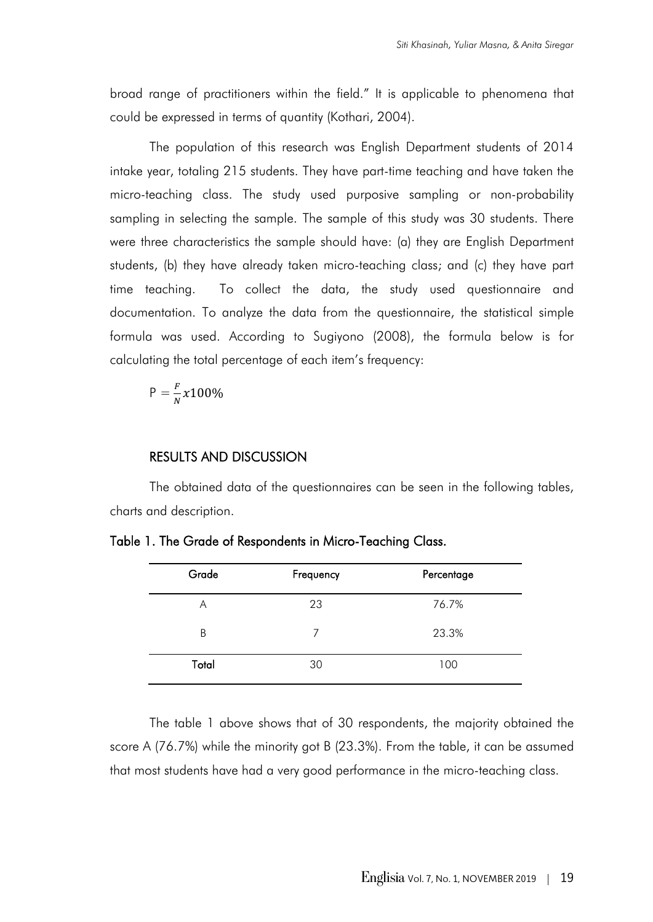broad range of practitioners within the field." It is applicable to phenomena that could be expressed in terms of quantity (Kothari, 2004).

The population of this research was English Department students of 2014 intake year, totaling 215 students. They have part-time teaching and have taken the micro-teaching class. The study used purposive sampling or non-probability sampling in selecting the sample. The sample of this study was 30 students. There were three characteristics the sample should have: (a) they are English Department students, (b) they have already taken micro-teaching class; and (c) they have part time teaching. To collect the data, the study used questionnaire and documentation. To analyze the data from the questionnaire, the statistical simple formula was used. According to Sugiyono (2008), the formula below is for calculating the total percentage of each item's frequency:

$$
P = \frac{F}{N} \chi 100\%
$$

#### RESULTS AND DISCUSSION

The obtained data of the questionnaires can be seen in the following tables, charts and description.

| Grade | Frequency | Percentage |
|-------|-----------|------------|
| Α     | 23        | 76.7%      |
| B     | 7         | 23.3%      |
| Total | 30        | 100        |

Table 1. The Grade of Respondents in Micro-Teaching Class.

The table 1 above shows that of 30 respondents, the majority obtained the score A (76.7%) while the minority got B (23.3%). From the table, it can be assumed that most students have had a very good performance in the micro-teaching class.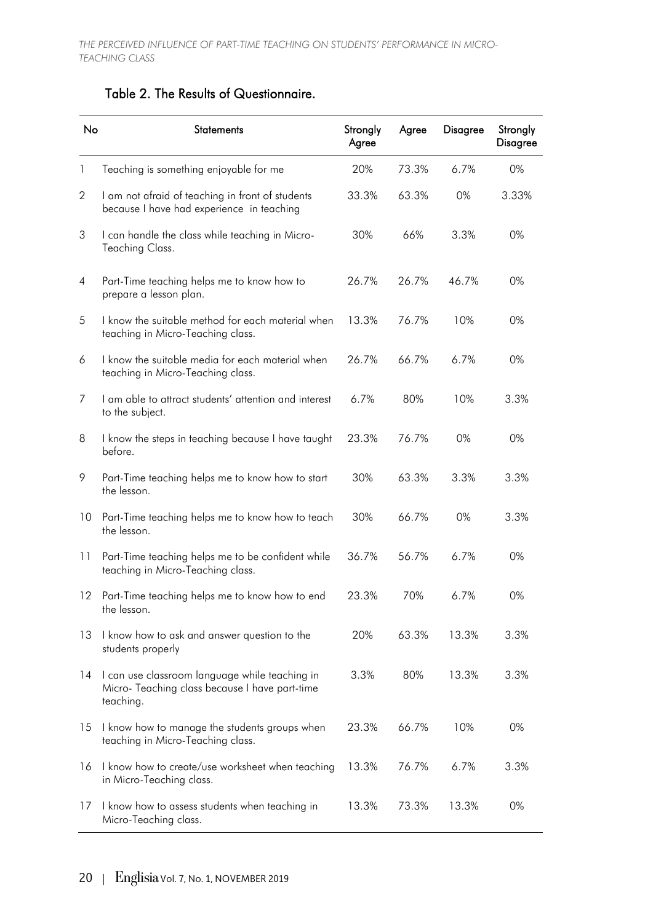# Table 2. The Results of Questionnaire.

| No           | <b>Statements</b>                                                                                             | Strongly<br>Agree | Agree | <b>Disagree</b> | Strongly<br><b>Disagree</b> |
|--------------|---------------------------------------------------------------------------------------------------------------|-------------------|-------|-----------------|-----------------------------|
| $\mathbf{1}$ | Teaching is something enjoyable for me                                                                        | 20%               | 73.3% | 6.7%            | 0%                          |
| $\mathbf{2}$ | I am not afraid of teaching in front of students<br>because I have had experience in teaching                 | 33.3%             | 63.3% | 0%              | 3.33%                       |
| 3            | I can handle the class while teaching in Micro-<br>Teaching Class.                                            | 30%               | 66%   | 3.3%            | 0%                          |
| 4            | Part-Time teaching helps me to know how to<br>prepare a lesson plan.                                          | 26.7%             | 26.7% | 46.7%           | 0%                          |
| 5            | I know the suitable method for each material when<br>teaching in Micro-Teaching class.                        | 13.3%             | 76.7% | 10%             | 0%                          |
| 6            | I know the suitable media for each material when<br>teaching in Micro-Teaching class.                         | 26.7%             | 66.7% | 6.7%            | 0%                          |
| 7            | I am able to attract students' attention and interest<br>to the subject.                                      | 6.7%              | 80%   | 10%             | 3.3%                        |
| 8            | I know the steps in teaching because I have taught<br>before.                                                 | 23.3%             | 76.7% | 0%              | 0%                          |
| 9            | Part-Time teaching helps me to know how to start<br>the lesson.                                               | 30%               | 63.3% | 3.3%            | 3.3%                        |
| 10           | Part-Time teaching helps me to know how to teach<br>the lesson.                                               | 30%               | 66.7% | 0%              | 3.3%                        |
| 11           | Part-Time teaching helps me to be confident while<br>teaching in Micro-Teaching class.                        | 36.7%             | 56.7% | 6.7%            | 0%                          |
| $12 \,$      | Part-Time teaching helps me to know how to end<br>the lesson.                                                 | 23.3%             | 70%   | 6.7%            | 0%                          |
| 13           | I know how to ask and answer question to the<br>students properly                                             | 20%               | 63.3% | 13.3%           | 3.3%                        |
| 14           | I can use classroom language while teaching in<br>Micro- Teaching class because I have part-time<br>teaching. | 3.3%              | 80%   | 13.3%           | 3.3%                        |
| 15           | I know how to manage the students groups when<br>teaching in Micro-Teaching class.                            | 23.3%             | 66.7% | 10%             | 0%                          |
| 16           | I know how to create/use worksheet when teaching<br>in Micro-Teaching class.                                  | 13.3%             | 76.7% | 6.7%            | 3.3%                        |
| 17           | I know how to assess students when teaching in<br>Micro-Teaching class.                                       | 13.3%             | 73.3% | 13.3%           | 0%                          |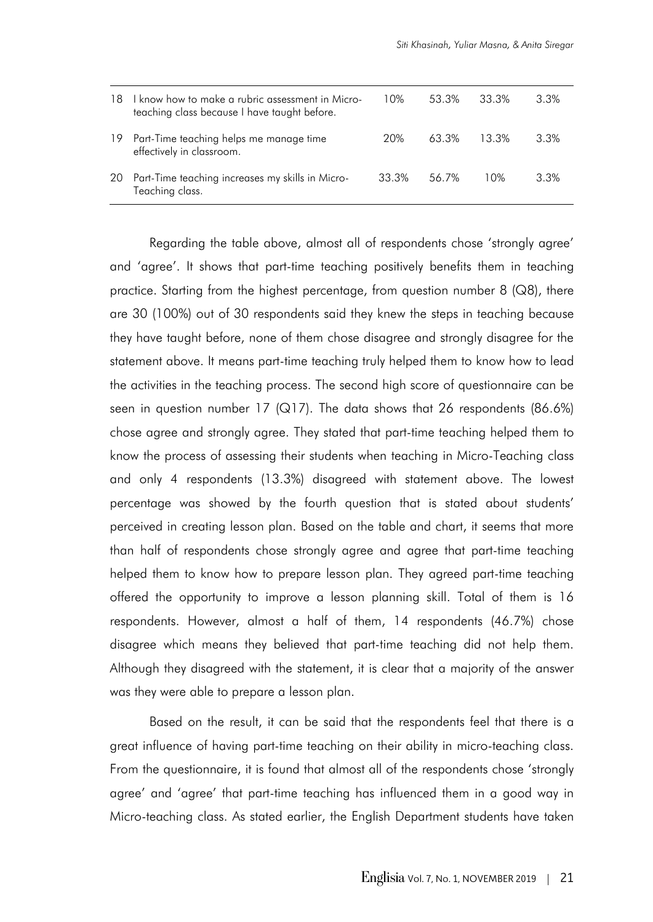| 18  | I know how to make a rubric assessment in Micro-<br>teaching class because I have taught before. | 10%   | 53.3% | 33.3% | 3.3%    |
|-----|--------------------------------------------------------------------------------------------------|-------|-------|-------|---------|
| 19. | Part-Time teaching helps me manage time<br>effectively in classroom.                             | 20%   | 63.3% | 13.3% | 3.3%    |
|     | 20 Part-Time teaching increases my skills in Micro-<br>Teaching class.                           | 33.3% | 56.7% | 10%   | $3.3\%$ |

Regarding the table above, almost all of respondents chose 'strongly agree' and 'agree'. It shows that part-time teaching positively benefits them in teaching practice. Starting from the highest percentage, from question number 8 (Q8), there are 30 (100%) out of 30 respondents said they knew the steps in teaching because they have taught before, none of them chose disagree and strongly disagree for the statement above. It means part-time teaching truly helped them to know how to lead the activities in the teaching process. The second high score of questionnaire can be seen in question number 17 (Q17). The data shows that 26 respondents (86.6%) chose agree and strongly agree. They stated that part-time teaching helped them to know the process of assessing their students when teaching in Micro-Teaching class and only 4 respondents (13.3%) disagreed with statement above. The lowest percentage was showed by the fourth question that is stated about students' perceived in creating lesson plan. Based on the table and chart, it seems that more than half of respondents chose strongly agree and agree that part-time teaching helped them to know how to prepare lesson plan. They agreed part-time teaching offered the opportunity to improve a lesson planning skill. Total of them is 16 respondents. However, almost a half of them, 14 respondents (46.7%) chose disagree which means they believed that part-time teaching did not help them. Although they disagreed with the statement, it is clear that a majority of the answer was they were able to prepare a lesson plan.

Based on the result, it can be said that the respondents feel that there is a great influence of having part-time teaching on their ability in micro-teaching class. From the questionnaire, it is found that almost all of the respondents chose 'strongly agree' and 'agree' that part-time teaching has influenced them in a good way in Micro-teaching class. As stated earlier, the English Department students have taken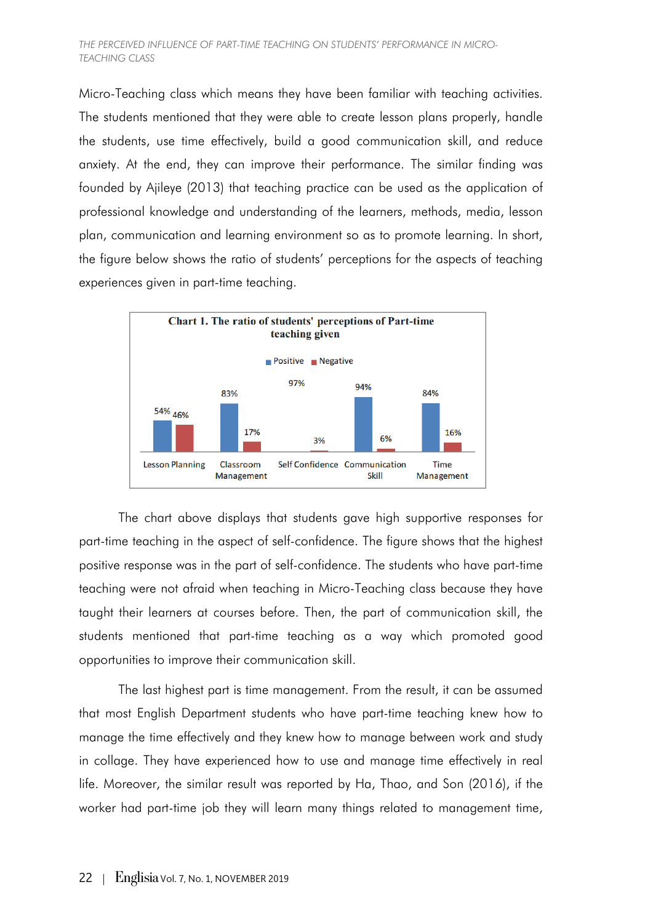Micro-Teaching class which means they have been familiar with teaching activities. The students mentioned that they were able to create lesson plans properly, handle the students, use time effectively, build a good communication skill, and reduce anxiety. At the end, they can improve their performance. The similar finding was founded by Ajileye (2013) that teaching practice can be used as the application of professional knowledge and understanding of the learners, methods, media, lesson plan, communication and learning environment so as to promote learning. In short, the figure below shows the ratio of students' perceptions for the aspects of teaching experiences given in part-time teaching.



The chart above displays that students gave high supportive responses for part-time teaching in the aspect of self-confidence. The figure shows that the highest positive response was in the part of self-confidence. The students who have part-time teaching were not afraid when teaching in Micro-Teaching class because they have taught their learners at courses before. Then, the part of communication skill, the students mentioned that part-time teaching as a way which promoted good opportunities to improve their communication skill.

The last highest part is time management. From the result, it can be assumed that most English Department students who have part-time teaching knew how to manage the time effectively and they knew how to manage between work and study in collage. They have experienced how to use and manage time effectively in real life. Moreover, the similar result was reported by Ha, Thao, and Son (2016), if the worker had part-time job they will learn many things related to management time,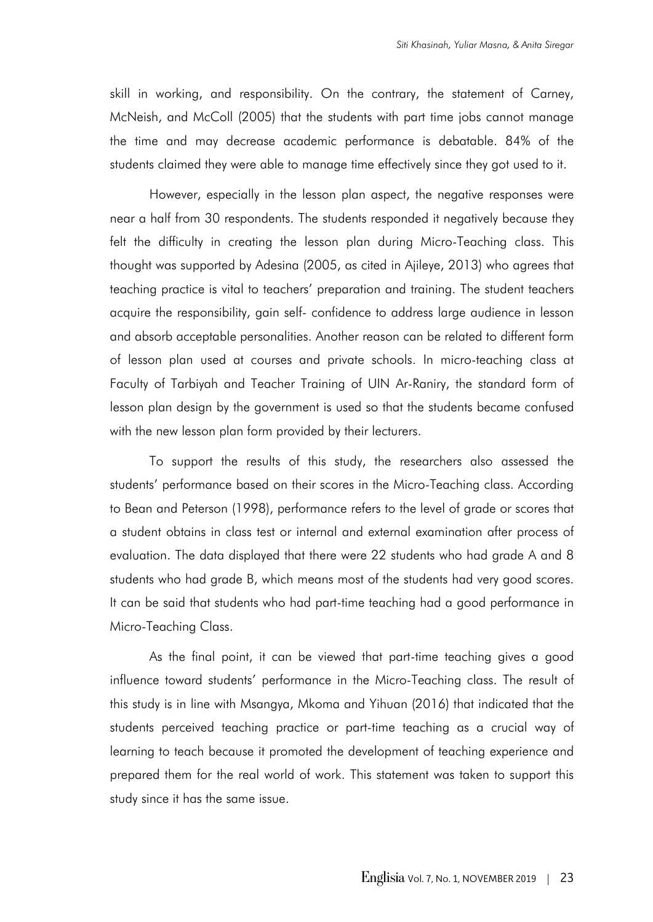skill in working, and responsibility. On the contrary, the statement of Carney, McNeish, and McColl (2005) that the students with part time jobs cannot manage the time and may decrease academic performance is debatable. 84% of the students claimed they were able to manage time effectively since they got used to it.

However, especially in the lesson plan aspect, the negative responses were near a half from 30 respondents. The students responded it negatively because they felt the difficulty in creating the lesson plan during Micro-Teaching class. This thought was supported by Adesina (2005, as cited in Ajileye, 2013) who agrees that teaching practice is vital to teachers' preparation and training. The student teachers acquire the responsibility, gain self- confidence to address large audience in lesson and absorb acceptable personalities. Another reason can be related to different form of lesson plan used at courses and private schools. In micro-teaching class at Faculty of Tarbiyah and Teacher Training of UIN Ar-Raniry, the standard form of lesson plan design by the government is used so that the students became confused with the new lesson plan form provided by their lecturers.

To support the results of this study, the researchers also assessed the students' performance based on their scores in the Micro-Teaching class. According to Bean and Peterson (1998), performance refers to the level of grade or scores that a student obtains in class test or internal and external examination after process of evaluation. The data displayed that there were 22 students who had grade A and 8 students who had grade B, which means most of the students had very good scores. It can be said that students who had part-time teaching had a good performance in Micro-Teaching Class.

As the final point, it can be viewed that part-time teaching gives a good influence toward students' performance in the Micro-Teaching class. The result of this study is in line with Msangya, Mkoma and Yihuan (2016) that indicated that the students perceived teaching practice or part-time teaching as a crucial way of learning to teach because it promoted the development of teaching experience and prepared them for the real world of work. This statement was taken to support this study since it has the same issue.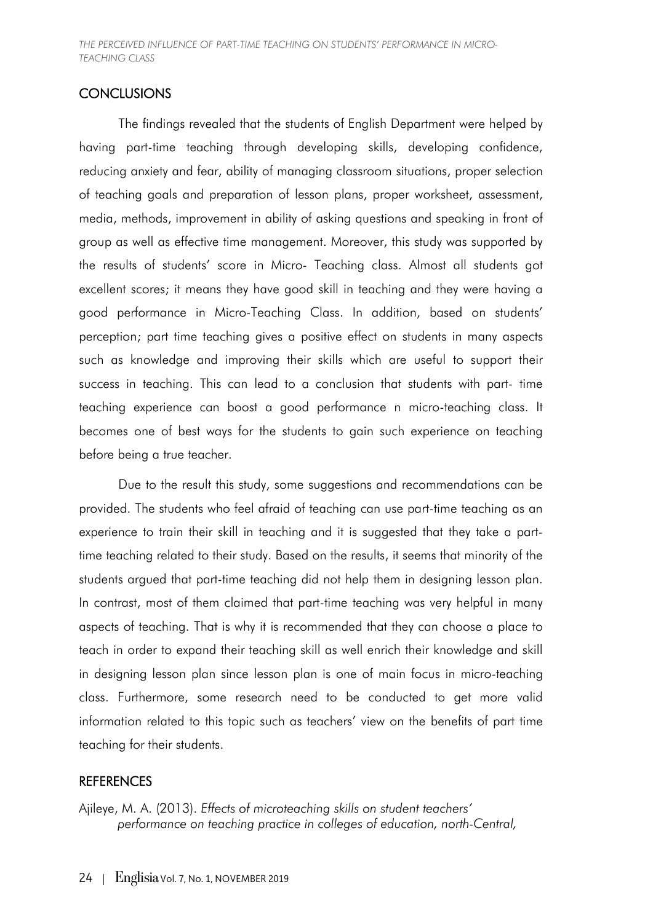## **CONCLUSIONS**

The findings revealed that the students of English Department were helped by having part-time teaching through developing skills, developing confidence, reducing anxiety and fear, ability of managing classroom situations, proper selection of teaching goals and preparation of lesson plans, proper worksheet, assessment, media, methods, improvement in ability of asking questions and speaking in front of group as well as effective time management. Moreover, this study was supported by the results of students' score in Micro- Teaching class. Almost all students got excellent scores; it means they have good skill in teaching and they were having a good performance in Micro-Teaching Class. In addition, based on students' perception; part time teaching gives a positive effect on students in many aspects such as knowledge and improving their skills which are useful to support their success in teaching. This can lead to a conclusion that students with part- time teaching experience can boost a good performance n micro-teaching class. It becomes one of best ways for the students to gain such experience on teaching before being a true teacher.

Due to the result this study, some suggestions and recommendations can be provided. The students who feel afraid of teaching can use part-time teaching as an experience to train their skill in teaching and it is suggested that they take a parttime teaching related to their study. Based on the results, it seems that minority of the students argued that part-time teaching did not help them in designing lesson plan. In contrast, most of them claimed that part-time teaching was very helpful in many aspects of teaching. That is why it is recommended that they can choose a place to teach in order to expand their teaching skill as well enrich their knowledge and skill in designing lesson plan since lesson plan is one of main focus in micro-teaching class. Furthermore, some research need to be conducted to get more valid information related to this topic such as teachers' view on the benefits of part time teaching for their students.

## **REFERENCES**

Ajileye, M. A. (2013). *Effects of microteaching skills on student teachers' performance on teaching practice in colleges of education, north-Central,*